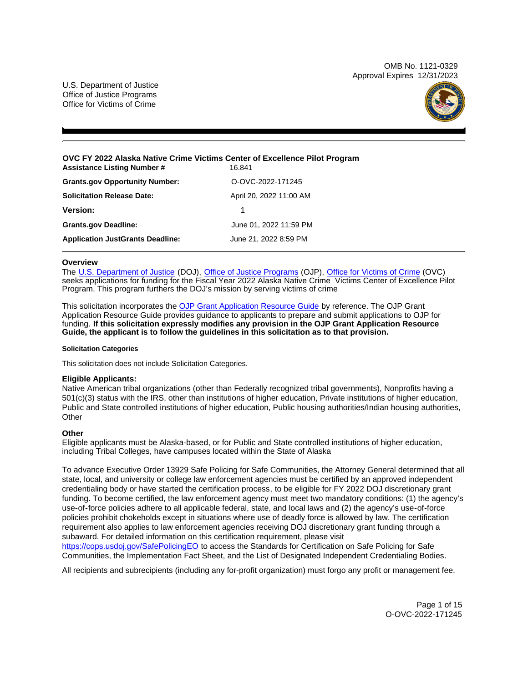OMB No. 1121-0329 Approval Expires 12/31/2023

U.S. Department of Justice Office of Justice Programs Office for Victims of Crime



#### **OVC FY 2022 Alaska Native Crime Victims Center of Excellence Pilot Program Assistance Listing Number # 16.841**

| <b>Grants.gov Opportunity Number:</b>   | O-OVC-2022-171245       |
|-----------------------------------------|-------------------------|
| <b>Solicitation Release Date:</b>       | April 20, 2022 11:00 AM |
| Version:                                |                         |
| <b>Grants.gov Deadline:</b>             | June 01, 2022 11:59 PM  |
| <b>Application JustGrants Deadline:</b> | June 21, 2022 8:59 PM   |

# **Overview**

The [U.S. Department of Justice](https://www.usdoj.gov/) (DOJ), [Office of Justice Programs](https://www.ojp.gov/) (OJP), [Office for Victims of Crime](http://www.ovc.ojp.gov/) (OVC) seeks applications for funding for the Fiscal Year 2022 Alaska Native Crime Victims Center of Excellence Pilot Program. This program furthers the DOJ's mission by serving victims of crime

This solicitation incorporates the [OJP Grant Application Resource Guide](https://www.ojp.gov/funding/Apply/Resources/Grant-App-Resource-Guide.htm) by reference. The OJP Grant Application Resource Guide provides guidance to applicants to prepare and submit applications to OJP for funding. **If this solicitation expressly modifies any provision in the OJP Grant Application Resource Guide, the applicant is to follow the guidelines in this solicitation as to that provision.** 

# **Solicitation Categories**

This solicitation does not include Solicitation Categories.

# **Eligible Applicants:**

Native American tribal organizations (other than Federally recognized tribal governments), Nonprofits having a 501(c)(3) status with the IRS, other than institutions of higher education, Private institutions of higher education, Public and State controlled institutions of higher education, Public housing authorities/Indian housing authorities, **Other** 

# **Other**

Eligible applicants must be Alaska-based, or for Public and State controlled institutions of higher education, including Tribal Colleges, have campuses located within the State of Alaska

To advance Executive Order 13929 Safe Policing for Safe Communities, the Attorney General determined that all state, local, and university or college law enforcement agencies must be certified by an approved independent credentialing body or have started the certification process, to be eligible for FY 2022 DOJ discretionary grant funding. To become certified, the law enforcement agency must meet two mandatory conditions: (1) the agency's use-of-force policies adhere to all applicable federal, state, and local laws and (2) the agency's use-of-force policies prohibit chokeholds except in situations where use of deadly force is allowed by law. The certification requirement also applies to law enforcement agencies receiving DOJ discretionary grant funding through a subaward. For detailed information on this certification requirement, please visit

[https://cops.usdoj.gov/SafePolicingEO](https://cops.usdoj.gov/SafePolicingEO%20) to access the Standards for Certification on Safe Policing for Safe Communities, the Implementation Fact Sheet, and the List of Designated Independent Credentialing Bodies.

All recipients and subrecipients (including any for-profit organization) must forgo any profit or management fee.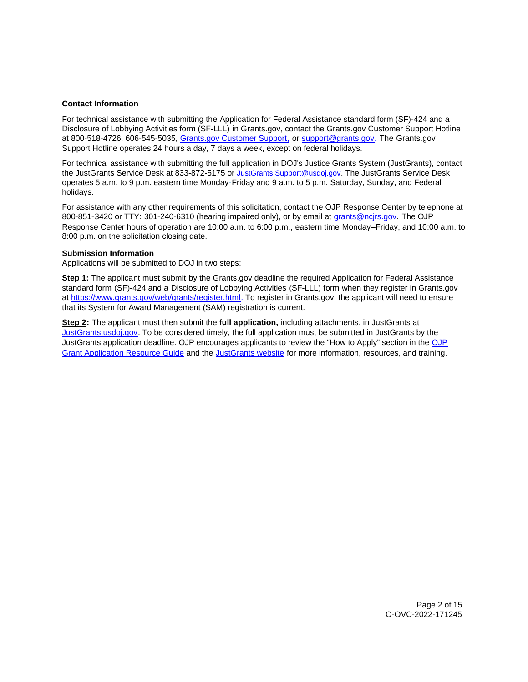# <span id="page-1-0"></span>**Contact Information**

For technical assistance with submitting the Application for Federal Assistance standard form (SF)-424 and a Disclosure of Lobbying Activities form (SF-LLL) in [Grants.gov](https://Grants.gov), contact the [Grants.gov](https://Grants.gov) Customer Support Hotline at 800-518-4726, 606-545-5035, [Grants.gov Customer Support,](https://www.grants.gov/web/grants/support.html) or [support@grants.gov.](mailto:support@grants.gov) The [Grants.gov](https://Grants.gov) Support Hotline operates 24 hours a day, 7 days a week, except on federal holidays.

For technical assistance with submitting the full application in DOJ's Justice Grants System (JustGrants), contact the JustGrants Service Desk at 833-872-5175 or [JustGrants.Support@usdoj.gov.](mailto:JustGrants.Support@usdoj.gov) The JustGrants Service Desk operates 5 a.m. to 9 p.m. eastern time Monday-Friday and 9 a.m. to 5 p.m. Saturday, Sunday, and Federal holidays.

For assistance with any other requirements of this solicitation, contact the OJP Response Center by telephone at 800-851-3420 or TTY: 301-240-6310 (hearing impaired only), or by email at [grants@ncjrs.gov.](mailto:grants@ncjrs.gov) The OJP Response Center hours of operation are 10:00 a.m. to 6:00 p.m., eastern time Monday–Friday, and 10:00 a.m. to 8:00 p.m. on the solicitation closing date.

## **Submission Information**

Applications will be submitted to DOJ in two steps:

**Step 1:** The applicant must submit by the [Grants.gov](https://Grants.gov) deadline the required Application for Federal Assistance standard form (SF)-424 and a Disclosure of Lobbying Activities (SF-LLL) form when they register in [Grants.gov](https://Grants.gov) at [https://www.grants.gov/web/grants/register.html.](https://www.grants.gov/web/grants/register.html) To register in [Grants.gov](https://Grants.gov), the applicant will need to ensure that its System for Award Management (SAM) registration is current.

**Step 2:** The applicant must then submit the **full application,** including attachments, in JustGrants at [JustGrants.usdoj.gov.](https://justicegrants.usdoj.gov/) To be considered timely, the full application must be submitted in JustGrants by the JustGrants application deadline. OJP encourages applicants to review the "How to Apply" section in the [OJP](https://www.ojp.gov/funding/apply/ojp-grant-application-resource-guide#apply)  [Grant Application Resource Guide](https://www.ojp.gov/funding/apply/ojp-grant-application-resource-guide#apply) and the [JustGrants website](https://justicegrants.usdoj.gov/news) for more information, resources, and training.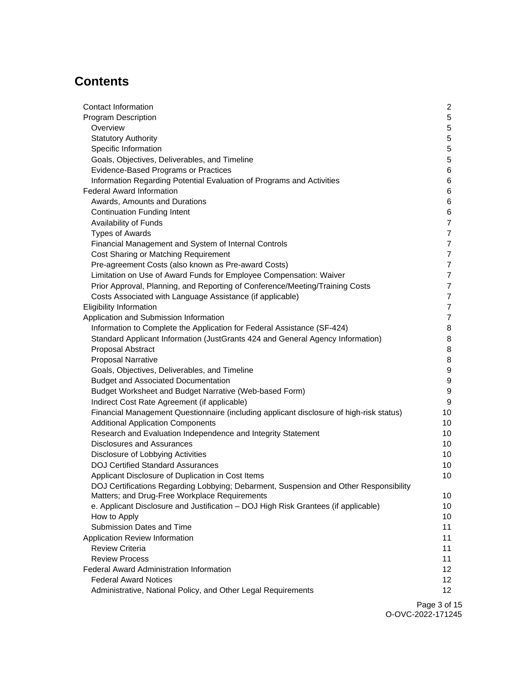# **Contents**

| Contact Information                                                                     | 2                |
|-----------------------------------------------------------------------------------------|------------------|
| <b>Program Description</b>                                                              | $\sqrt{5}$       |
| Overview                                                                                | $\sqrt{5}$       |
| <b>Statutory Authority</b>                                                              | $\sqrt{5}$       |
| Specific Information                                                                    | $\mathbf 5$      |
| Goals, Objectives, Deliverables, and Timeline                                           | $\mathbf 5$      |
| Evidence-Based Programs or Practices                                                    | $\,6$            |
| Information Regarding Potential Evaluation of Programs and Activities                   | $\,6$            |
| <b>Federal Award Information</b>                                                        | $\,6$            |
| Awards, Amounts and Durations                                                           | 6                |
| <b>Continuation Funding Intent</b>                                                      | $\,6$            |
| Availability of Funds                                                                   | $\overline{7}$   |
| <b>Types of Awards</b>                                                                  | $\overline{7}$   |
| Financial Management and System of Internal Controls                                    | $\overline{7}$   |
| Cost Sharing or Matching Requirement                                                    | $\overline{7}$   |
| Pre-agreement Costs (also known as Pre-award Costs)                                     | $\overline{7}$   |
| Limitation on Use of Award Funds for Employee Compensation: Waiver                      | $\overline{7}$   |
| Prior Approval, Planning, and Reporting of Conference/Meeting/Training Costs            | $\overline{7}$   |
| Costs Associated with Language Assistance (if applicable)                               | $\overline{7}$   |
| <b>Eligibility Information</b>                                                          | $\overline{7}$   |
| Application and Submission Information                                                  | $\overline{7}$   |
| Information to Complete the Application for Federal Assistance (SF-424)                 | 8                |
| Standard Applicant Information (JustGrants 424 and General Agency Information)          | 8                |
| Proposal Abstract                                                                       | 8                |
| <b>Proposal Narrative</b>                                                               | 8                |
| Goals, Objectives, Deliverables, and Timeline                                           | $\boldsymbol{9}$ |
| <b>Budget and Associated Documentation</b>                                              | $\boldsymbol{9}$ |
| Budget Worksheet and Budget Narrative (Web-based Form)                                  | $\boldsymbol{9}$ |
| Indirect Cost Rate Agreement (if applicable)                                            | 9                |
| Financial Management Questionnaire (including applicant disclosure of high-risk status) | 10               |
| <b>Additional Application Components</b>                                                | 10               |
| Research and Evaluation Independence and Integrity Statement                            | 10               |
| <b>Disclosures and Assurances</b>                                                       | 10               |
| Disclosure of Lobbying Activities                                                       | 10               |
| <b>DOJ Certified Standard Assurances</b>                                                | 10               |
| Applicant Disclosure of Duplication in Cost Items                                       | 10               |
| DOJ Certifications Regarding Lobbying; Debarment, Suspension and Other Responsibility   |                  |
| Matters; and Drug-Free Workplace Requirements                                           | 10               |
| e. Applicant Disclosure and Justification - DOJ High Risk Grantees (if applicable)      | 10               |
| How to Apply                                                                            | 10               |
| Submission Dates and Time                                                               | 11               |
| Application Review Information                                                          | 11               |
| <b>Review Criteria</b>                                                                  | 11               |
| <b>Review Process</b>                                                                   | 11               |
| <b>Federal Award Administration Information</b>                                         | 12               |
| <b>Federal Award Notices</b>                                                            | 12               |
| Administrative, National Policy, and Other Legal Requirements                           | 12               |
|                                                                                         |                  |

Page 3 of 15 O-OVC-2022-171245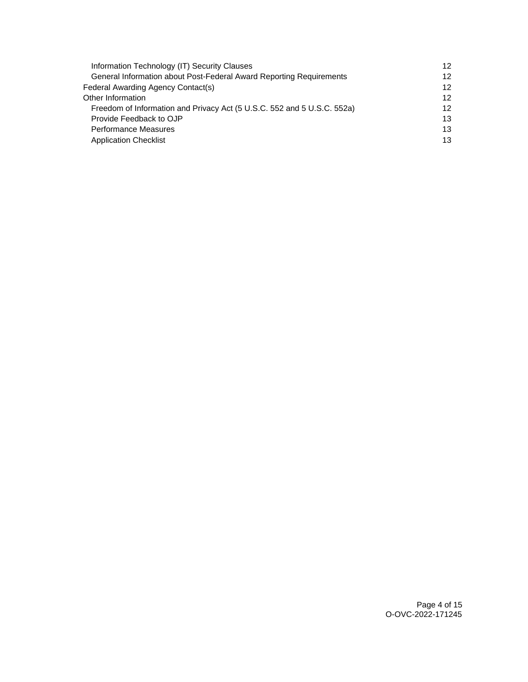| Information Technology (IT) Security Clauses                            | 12 <sup>2</sup> |
|-------------------------------------------------------------------------|-----------------|
| General Information about Post-Federal Award Reporting Requirements     | 12              |
| Federal Awarding Agency Contact(s)                                      | 12 <sup>2</sup> |
| Other Information                                                       | 12 <sup>2</sup> |
| Freedom of Information and Privacy Act (5 U.S.C. 552 and 5 U.S.C. 552a) | 12 <sup>2</sup> |
| Provide Feedback to OJP                                                 | 13              |
| Performance Measures                                                    | 13              |
| <b>Application Checklist</b>                                            | 13              |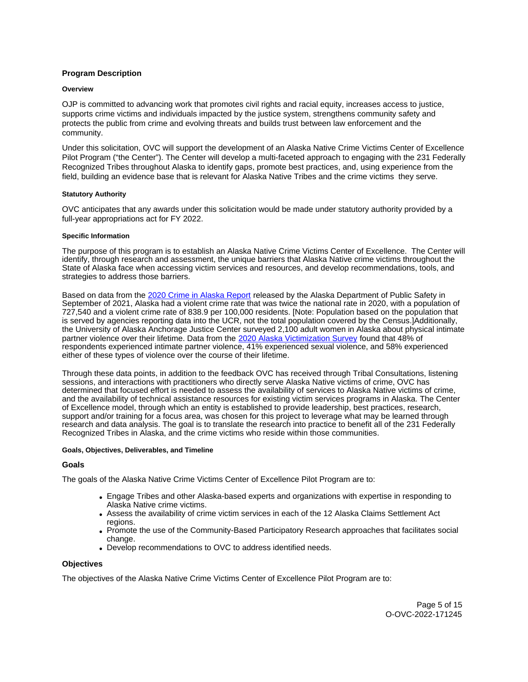# <span id="page-4-0"></span>**Program Description**

#### **Overview**

OJP is committed to advancing work that promotes civil rights and racial equity, increases access to justice, supports crime victims and individuals impacted by the justice system, strengthens community safety and protects the public from crime and evolving threats and builds trust between law enforcement and the community.

Under this solicitation, OVC will support the development of an Alaska Native Crime Victims Center of Excellence Pilot Program ("the Center"). The Center will develop a multi-faceted approach to engaging with the 231 Federally Recognized Tribes throughout Alaska to identify gaps, promote best practices, and, using experience from the field, building an evidence base that is relevant for Alaska Native Tribes and the crime victims they serve.

## **Statutory Authority**

OVC anticipates that any awards under this solicitation would be made under statutory authority provided by a full-year appropriations act for FY 2022.

## **Specific Information**

The purpose of this program is to establish an Alaska Native Crime Victims Center of Excellence. The Center will identify, through research and assessment, the unique barriers that Alaska Native crime victims throughout the State of Alaska face when accessing victim services and resources, and develop recommendations, tools, and strategies to address those barriers.

Based on data from the [2020 Crime in Alaska Report](https://dps.alaska.gov/getmedia/c2a67d72-7570-48ea-b8f7-9be728030651/Crime-In-Alaska-2020) released by the Alaska Department of Public Safety in September of 2021, Alaska had a violent crime rate that was twice the national rate in 2020, with a population of 727,540 and a violent crime rate of 838.9 per 100,000 residents. [Note: Population based on the population that is served by agencies reporting data into the UCR, not the total population covered by the Census.]Additionally, the University of Alaska Anchorage Justice Center surveyed 2,100 adult women in Alaska about physical intimate partner violence over their lifetime. Data from the [2020 Alaska Victimization Survey](https://scholarworks.alaska.edu/handle/11122/12259) found that 48% of respondents experienced intimate partner violence, 41% experienced sexual violence, and 58% experienced either of these types of violence over the course of their lifetime.

Through these data points, in addition to the feedback OVC has received through Tribal Consultations, listening sessions, and interactions with practitioners who directly serve Alaska Native victims of crime, OVC has determined that focused effort is needed to assess the availability of services to Alaska Native victims of crime, and the availability of technical assistance resources for existing victim services programs in Alaska. The Center of Excellence model, through which an entity is established to provide leadership, best practices, research, support and/or training for a focus area, was chosen for this project to leverage what may be learned through research and data analysis. The goal is to translate the research into practice to benefit all of the 231 Federally Recognized Tribes in Alaska, and the crime victims who reside within those communities.

## **Goals, Objectives, Deliverables, and Timeline**

# **Goals**

The goals of the Alaska Native Crime Victims Center of Excellence Pilot Program are to:

- Engage Tribes and other Alaska-based experts and organizations with expertise in responding to Alaska Native crime victims.
- Assess the availability of crime victim services in each of the 12 Alaska Claims Settlement Act regions.
- Promote the use of the Community-Based Participatory Research approaches that facilitates social change.
- Develop recommendations to OVC to address identified needs.

# **Objectives**

The objectives of the Alaska Native Crime Victims Center of Excellence Pilot Program are to: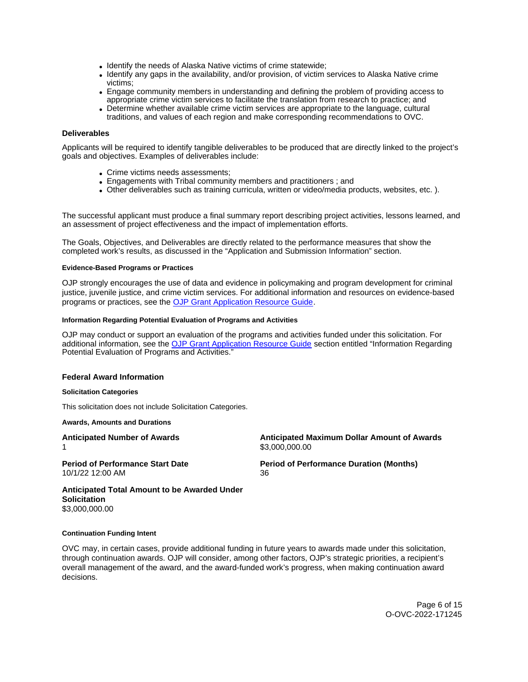- <span id="page-5-0"></span>• Identify the needs of Alaska Native victims of crime statewide;
- Identify any gaps in the availability, and/or provision, of victim services to Alaska Native crime victims;
- Engage community members in understanding and defining the problem of providing access to appropriate crime victim services to facilitate the translation from research to practice; and
- Determine whether available crime victim services are appropriate to the language, cultural traditions, and values of each region and make corresponding recommendations to OVC.

## **Deliverables**

Applicants will be required to identify tangible deliverables to be produced that are directly linked to the project's goals and objectives. Examples of deliverables include:

- Crime victims needs assessments;
- Engagements with Tribal community members and practitioners ; and
- Other deliverables such as training curricula, written or video/media products, websites, etc. ).

The successful applicant must produce a final summary report describing project activities, lessons learned, and an assessment of project effectiveness and the impact of implementation efforts.

The Goals, Objectives, and Deliverables are directly related to the performance measures that show the completed work's results, as discussed in the "Application and Submission Information" section.

#### **Evidence-Based Programs or Practices**

OJP strongly encourages the use of data and evidence in policymaking and program development for criminal justice, juvenile justice, and crime victim services. For additional information and resources on evidence-based programs or practices, see the [OJP Grant Application Resource Guide.](https://www.ojp.gov/funding/apply/ojp-grant-application-resource-guide#evidence-based)

#### **Information Regarding Potential Evaluation of Programs and Activities**

OJP may conduct or support an evaluation of the programs and activities funded under this solicitation. For additional information, see the [OJP Grant Application Resource Guide](https://www.ojp.gov/funding/apply/ojp-grant-application-resource-guide#potential-evaluation) section entitled "Information Regarding Potential Evaluation of Programs and Activities."

#### **Federal Award Information**

#### **Solicitation Categories**

This solicitation does not include Solicitation Categories.

#### **Awards, Amounts and Durations**

1 \$[3,000,000.00](https://3,000,000.00)

10/1/22 12:00 AM 36

**Anticipated Number of Awards Anticipated Maximum Dollar Amount of Awards** 

**Period of Performance Start Date**  Period of Performance Duration (Months)

**Anticipated Total Amount to be Awarded Under Solicitation**  [\\$3,000,000.00](https://3,000,000.00) 

#### **Continuation Funding Intent**

OVC may, in certain cases, provide additional funding in future years to awards made under this solicitation, through continuation awards. OJP will consider, among other factors, OJP's strategic priorities, a recipient's overall management of the award, and the award-funded work's progress, when making continuation award decisions.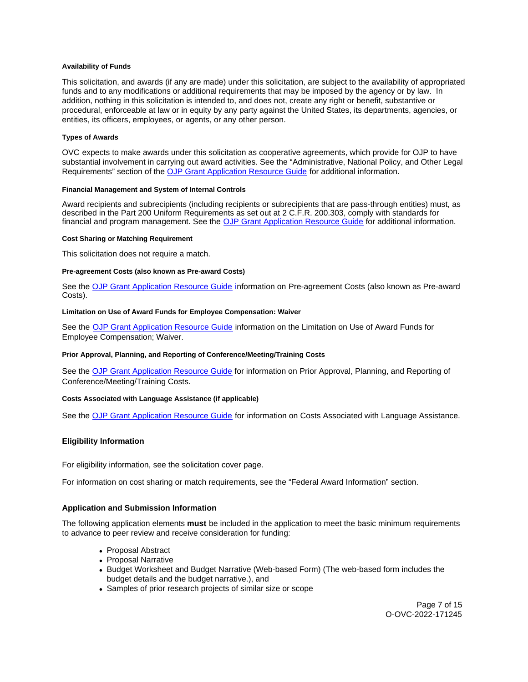#### <span id="page-6-0"></span>**Availability of Funds**

This solicitation, and awards (if any are made) under this solicitation, are subject to the availability of appropriated funds and to any modifications or additional requirements that may be imposed by the agency or by law. In addition, nothing in this solicitation is intended to, and does not, create any right or benefit, substantive or procedural, enforceable at law or in equity by any party against the United States, its departments, agencies, or entities, its officers, employees, or agents, or any other person.

## **Types of Awards**

OVC expects to make awards under this solicitation as cooperative agreements, which provide for OJP to have substantial involvement in carrying out award activities. See the "Administrative, National Policy, and Other Legal Requirements" section of the [OJP Grant Application Resource Guide](https://www.ojp.gov/funding/apply/ojp-grant-application-resource-guide#administrative) for additional information.

# **Financial Management and System of Internal Controls**

Award recipients and subrecipients (including recipients or subrecipients that are pass-through entities) must, as described in the Part 200 Uniform Requirements as set out at 2 C.F.R. 200.303, comply with standards for financial and program management. See the [OJP Grant Application Resource Guide](https://www.ojp.gov/funding/apply/ojp-grant-application-resource-guide#fm-internal-controls) for additional information.

#### **Cost Sharing or Matching Requirement**

This solicitation does not require a match.

## **Pre-agreement Costs (also known as Pre-award Costs)**

See the [OJP Grant Application Resource Guide](https://www.ojp.gov/funding/apply/ojp-grant-application-resource-guide#pre-agreement-costs) information on Pre-agreement Costs (also known as Pre-award Costs).

## **Limitation on Use of Award Funds for Employee Compensation: Waiver**

See the [OJP Grant Application Resource Guide](https://www.ojp.gov/funding/apply/ojp-grant-application-resource-guide#limitation-use-award) information on the Limitation on Use of Award Funds for Employee Compensation; Waiver.

#### **Prior Approval, Planning, and Reporting of Conference/Meeting/Training Costs**

See the [OJP Grant Application Resource Guide](https://www.ojp.gov/funding/apply/ojp-grant-application-resource-guide#prior-approval) for information on Prior Approval, Planning, and Reporting of Conference/Meeting/Training Costs.

#### **Costs Associated with Language Assistance (if applicable)**

See the [OJP Grant Application Resource Guide](https://www.ojp.gov/funding/apply/ojp-grant-application-resource-guide#costs-associated) for information on Costs Associated with Language Assistance.

# **Eligibility Information**

For eligibility information, see the solicitation cover page.

For information on cost sharing or match requirements, see the "Federal Award Information" section.

# **Application and Submission Information**

The following application elements **must** be included in the application to meet the basic minimum requirements to advance to peer review and receive consideration for funding:

- Proposal Abstract
- Proposal Narrative
- Budget Worksheet and Budget Narrative (Web-based Form) (The web-based form includes the budget details and the budget narrative.), and
- Samples of prior research projects of similar size or scope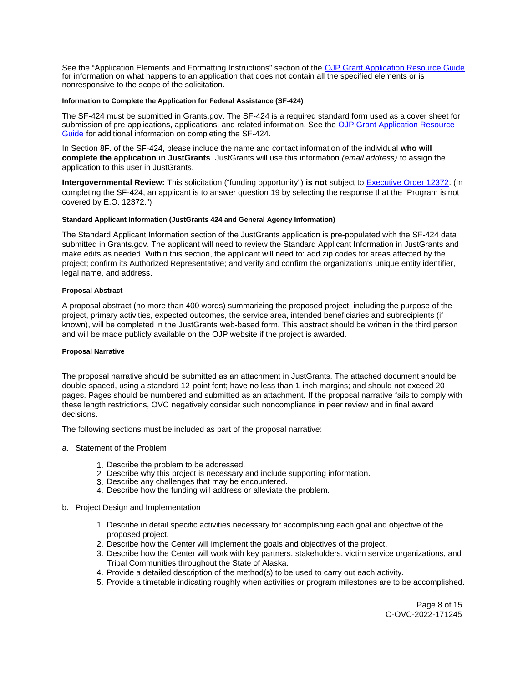<span id="page-7-0"></span>See the "Application Elements and Formatting Instructions" section of the [OJP Grant Application Resource Guide](https://www.ojp.gov/funding/apply/ojp-grant-application-resource-guide#application-elements)  for information on what happens to an application that does not contain all the specified elements or is nonresponsive to the scope of the solicitation.

## **Information to Complete the Application for Federal Assistance (SF-424)**

The SF-424 must be submitted in [Grants.gov](https://Grants.gov). The SF-424 is a required standard form used as a cover sheet for submission of pre-applications, applications, and related information. See the [OJP Grant Application Resource](https://www.ojp.gov/funding/apply/ojp-grant-application-resource-guide#complete-application)  [Guide](https://www.ojp.gov/funding/apply/ojp-grant-application-resource-guide#complete-application) for additional information on completing the SF-424.

In Section 8F. of the SF-424, please include the name and contact information of the individual **who will complete the application in JustGrants**. JustGrants will use this information (email address) to assign the application to this user in JustGrants.

**Intergovernmental Review:** This solicitation ("funding opportunity") **is not** subject to [Executive Order 12372.](https://www.archives.gov/federal-register/codification/executive-order/12372.html) (In completing the SF-424, an applicant is to answer question 19 by selecting the response that the "Program is not covered by E.O. 12372.")

## **Standard Applicant Information (JustGrants 424 and General Agency Information)**

The Standard Applicant Information section of the JustGrants application is pre-populated with the SF-424 data submitted in [Grants.gov.](https://Grants.gov) The applicant will need to review the Standard Applicant Information in JustGrants and make edits as needed. Within this section, the applicant will need to: add zip codes for areas affected by the project; confirm its Authorized Representative; and verify and confirm the organization's unique entity identifier, legal name, and address.

## **Proposal Abstract**

A proposal abstract (no more than 400 words) summarizing the proposed project, including the purpose of the project, primary activities, expected outcomes, the service area, intended beneficiaries and subrecipients (if known), will be completed in the JustGrants web-based form. This abstract should be written in the third person and will be made publicly available on the OJP website if the project is awarded.

#### **Proposal Narrative**

The proposal narrative should be submitted as an attachment in JustGrants. The attached document should be double-spaced, using a standard 12-point font; have no less than 1-inch margins; and should not exceed 20 pages. Pages should be numbered and submitted as an attachment. If the proposal narrative fails to comply with these length restrictions, OVC negatively consider such noncompliance in peer review and in final award decisions.

The following sections must be included as part of the proposal narrative:

- a. Statement of the Problem
	- 1. Describe the problem to be addressed.
	- 2. Describe why this project is necessary and include supporting information.
	- 3. Describe any challenges that may be encountered.
	- 4. Describe how the funding will address or alleviate the problem.
- b. Project Design and Implementation
	- 1. Describe in detail specific activities necessary for accomplishing each goal and objective of the proposed project.
	- 2. Describe how the Center will implement the goals and objectives of the project.
	- 3. Describe how the Center will work with key partners, stakeholders, victim service organizations, and Tribal Communities throughout the State of Alaska.
	- 4. Provide a detailed description of the method(s) to be used to carry out each activity.
	- 5. Provide a timetable indicating roughly when activities or program milestones are to be accomplished.

Page 8 of 15 O-OVC-2022-171245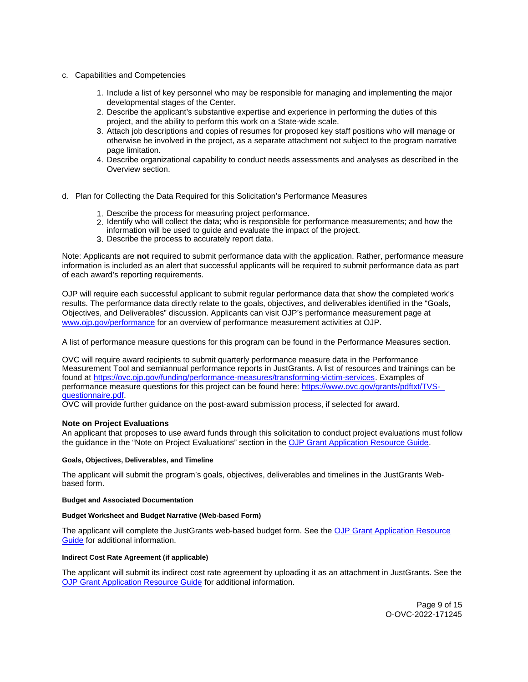- <span id="page-8-0"></span>c. Capabilities and Competencies
	- 1. Include a list of key personnel who may be responsible for managing and implementing the major developmental stages of the Center.
	- 2. Describe the applicant's substantive expertise and experience in performing the duties of this project, and the ability to perform this work on a State-wide scale.
	- 3. Attach job descriptions and copies of resumes for proposed key staff positions who will manage or otherwise be involved in the project, as a separate attachment not subject to the program narrative page limitation.
	- 4. Describe organizational capability to conduct needs assessments and analyses as described in the Overview section.
- d. Plan for Collecting the Data Required for this Solicitation's Performance Measures
	- 1. Describe the process for measuring project performance.
	- 2. Identify who will collect the data; who is responsible for performance measurements; and how the
	- information will be used to guide and evaluate the impact of the project.
	- 3. Describe the process to accurately report data.

Note: Applicants are **not** required to submit performance data with the application. Rather, performance measure information is included as an alert that successful applicants will be required to submit performance data as part of each award's reporting requirements.

OJP will require each successful applicant to submit regular performance data that show the completed work's results. The performance data directly relate to the goals, objectives, and deliverables identified in the "Goals, Objectives, and Deliverables" discussion. Applicants can visit OJP's performance measurement page at [www.ojp.gov/performance](http://www.ojp.gov/performance) for an overview of performance measurement activities at OJP.

A list of performance measure questions for this program can be found in the Performance Measures section.

OVC will require award recipients to submit quarterly performance measure data in the Performance Measurement Tool and semiannual performance reports in JustGrants. A list of resources and trainings can be found at [https://ovc.ojp.gov/funding/performance-measures/transforming-victim-services.](https://ovc.ojp.gov/funding/performance-measures/transforming-victim-services) Examples of performance measure questions for this project can be found here: [https://www.ovc.gov/grants/pdftxt/TVS](https://www.ovc.gov/grants/pdftxt/TVS-questionnaire.pdf)[questionnaire.pdf.](https://www.ovc.gov/grants/pdftxt/TVS-questionnaire.pdf)

OVC will provide further guidance on the post-award submission process, if selected for award.

# **Note on Project Evaluations**

An applicant that proposes to use award funds through this solicitation to conduct project evaluations must follow the guidance in the "Note on Project Evaluations" section in the [OJP Grant Application Resource Guide.](https://www.ojp.gov/funding/Apply/Resources/Grant-App-Resource-Guide.htm)

#### **Goals, Objectives, Deliverables, and Timeline**

The applicant will submit the program's goals, objectives, deliverables and timelines in the JustGrants Webbased form.

#### **Budget and Associated Documentation**

## **Budget Worksheet and Budget Narrative (Web-based Form)**

The applicant will complete the JustGrants web-based budget form. See the [OJP Grant Application Resource](https://www.ojp.gov/funding/apply/ojp-grant-application-resource-guide#budget-prep)  [Guide](https://www.ojp.gov/funding/apply/ojp-grant-application-resource-guide#budget-prep) for additional information.

#### **Indirect Cost Rate Agreement (if applicable)**

The applicant will submit its indirect cost rate agreement by uploading it as an attachment in JustGrants. See the [OJP Grant Application Resource Guide](https://www.ojp.gov/funding/apply/ojp-grant-application-resource-guide#indirect-cost) for additional information.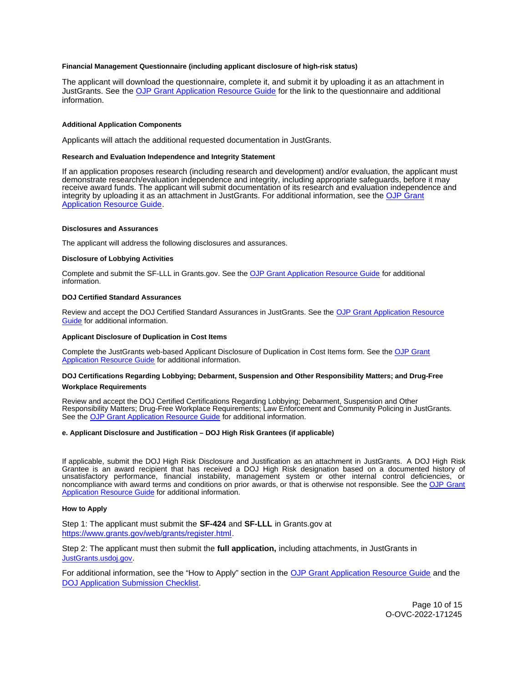#### <span id="page-9-0"></span>**Financial Management Questionnaire (including applicant disclosure of high-risk status)**

The applicant will download the questionnaire, complete it, and submit it by uploading it as an attachment in JustGrants. See the [OJP Grant Application Resource Guide](https://www.ojp.gov/funding/apply/ojp-grant-application-resource-guide#fm-internal-controls-questionnaire) for the link to the questionnaire and additional information.

#### **Additional Application Components**

Applicants will attach the additional requested documentation in JustGrants.

#### **Research and Evaluation Independence and Integrity Statement**

If an application proposes research (including research and development) and/or evaluation, the applicant must demonstrate research/evaluation independence and integrity, including appropriate safeguards, before it may receive award funds. The applicant will submit documentation of its research and evaluation independence and integrity by uploading it as an attachment in JustGrants. For additional information, see the [OJP Grant](https://www.ojp.gov/funding/apply/ojp-grant-application-resource-guide#research-evaluation)  [Application Resource Guide.](https://www.ojp.gov/funding/apply/ojp-grant-application-resource-guide#research-evaluation)

#### **Disclosures and Assurances**

The applicant will address the following disclosures and assurances.

#### **Disclosure of Lobbying Activities**

Complete and submit the SF-LLL in [Grants.gov.](https://Grants.gov) See the [OJP Grant Application Resource Guide](https://www.ojp.gov/funding/apply/ojp-grant-application-resource-guide#disclosure-lobby) for additional information.

#### **DOJ Certified Standard Assurances**

Review and accept the DOJ Certified Standard Assurances in JustGrants. See the [OJP Grant Application Resource](https://www.ojp.gov/funding/apply/ojp-grant-application-resource-guide#administrative)  [Guide](https://www.ojp.gov/funding/apply/ojp-grant-application-resource-guide#administrative) for additional information.

#### **Applicant Disclosure of Duplication in Cost Items**

Complete the JustGrants web-based Applicant Disclosure of Duplication in Cost Items form. See the [OJP Grant](https://www.ojp.gov/funding/apply/ojp-grant-application-resource-guide#applicant-disclosure-pending-applications)  [Application Resource Guide](https://www.ojp.gov/funding/apply/ojp-grant-application-resource-guide#applicant-disclosure-pending-applications) for additional information.

#### **DOJ Certifications Regarding Lobbying; Debarment, Suspension and Other Responsibility Matters; and Drug-Free Workplace Requirements**

Review and accept the DOJ Certified Certifications Regarding Lobbying; Debarment, Suspension and Other Responsibility Matters; Drug-Free Workplace Requirements; Law Enforcement and Community Policing in JustGrants. See the [OJP Grant Application Resource Guide](https://www.ojp.gov/funding/apply/ojp-grant-application-resource-guide#administrative) for additional information.

#### **e. Applicant Disclosure and Justification – DOJ High Risk Grantees (if applicable)**

If applicable, submit the DOJ High Risk Disclosure and Justification as an attachment in JustGrants. A DOJ High Risk Grantee is an award recipient that has received a DOJ High Risk designation based on a documented history of unsatisfactory performance, financial instability, management system or other internal control deficiencies, or noncompliance with award terms and conditions on prior awards, or that is otherwise not responsible. See the [OJP Grant](https://www.ojp.gov/funding/apply/ojp-grant-application-resource-guide)  [Application Resource Guide](https://www.ojp.gov/funding/apply/ojp-grant-application-resource-guide) for additional information.

#### **How to Apply**

Step 1: The applicant must submit the **SF-424** and **SF-LLL** in [Grants.gov](https://Grants.gov) at [https://www.grants.gov/web/grants/register.html.](https://www.grants.gov/web/grants/register.html)

Step 2: The applicant must then submit the **full application,** including attachments, in JustGrants in [JustGrants.usdoj.gov.](https://justicegrants.usdoj.gov/)

For additional information, see the "How to Apply" section in the [OJP Grant Application Resource Guide](https://www.ojp.gov/funding/apply/ojp-grant-application-resource-guide#apply) and the [DOJ Application Submission Checklist.](https://justicegrants.usdoj.gov/sites/g/files/xyckuh296/files/media/document/appln-submission-checklist.pdf)

> Page 10 of 15 O-OVC-2022-171245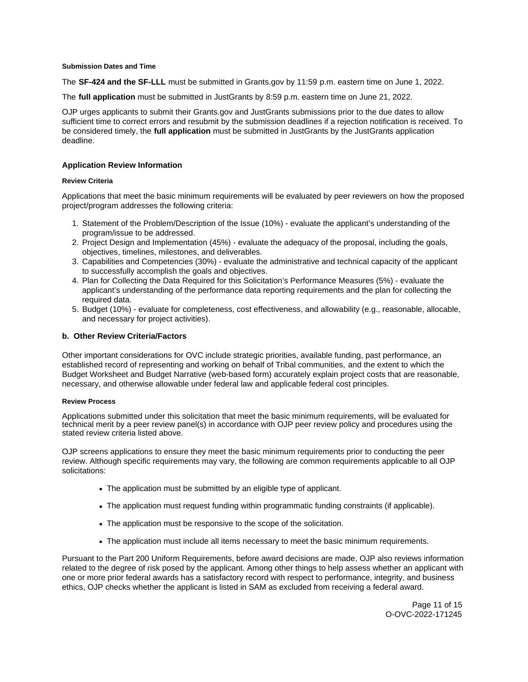#### <span id="page-10-0"></span>**Submission Dates and Time**

The **SF-424 and the SF-LLL** must be submitted in [Grants.gov](https://Grants.gov) by 11:59 p.m. eastern time on June 1, 2022.

The **full application** must be submitted in JustGrants by 8:59 p.m. eastern time on June 21, 2022.

OJP urges applicants to submit their [Grants.gov](https://Grants.gov) and JustGrants submissions prior to the due dates to allow sufficient time to correct errors and resubmit by the submission deadlines if a rejection notification is received. To be considered timely, the **full application** must be submitted in JustGrants by the JustGrants application deadline.

# **Application Review Information**

## **Review Criteria**

Applications that meet the basic minimum requirements will be evaluated by peer reviewers on how the proposed project/program addresses the following criteria:

- 1. Statement of the Problem/Description of the Issue (10%) evaluate the applicant's understanding of the program/issue to be addressed.
- 2. Project Design and Implementation (45%) evaluate the adequacy of the proposal, including the goals, objectives, timelines, milestones, and deliverables.
- 3. Capabilities and Competencies (30%) evaluate the administrative and technical capacity of the applicant to successfully accomplish the goals and objectives.
- 4. Plan for Collecting the Data Required for this Solicitation's Performance Measures (5%) evaluate the applicant's understanding of the performance data reporting requirements and the plan for collecting the required data.
- 5. Budget (10%) evaluate for completeness, cost effectiveness, and allowability (e.g., reasonable, allocable, and necessary for project activities).

# **b. Other Review Criteria/Factors**

Other important considerations for OVC include strategic priorities, available funding, past performance, an established record of representing and working on behalf of Tribal communities, and the extent to which the Budget Worksheet and Budget Narrative (web-based form) accurately explain project costs that are reasonable, necessary, and otherwise allowable under federal law and applicable federal cost principles.

#### **Review Process**

Applications submitted under this solicitation that meet the basic minimum requirements, will be evaluated for technical merit by a peer review panel(s) in accordance with OJP peer review policy and procedures using the stated review criteria listed above.

OJP screens applications to ensure they meet the basic minimum requirements prior to conducting the peer review. Although specific requirements may vary, the following are common requirements applicable to all OJP solicitations:

- The application must be submitted by an eligible type of applicant.
- The application must request funding within programmatic funding constraints (if applicable).
- The application must be responsive to the scope of the solicitation.
- The application must include all items necessary to meet the basic minimum requirements.

Pursuant to the Part 200 Uniform Requirements, before award decisions are made, OJP also reviews information related to the degree of risk posed by the applicant. Among other things to help assess whether an applicant with one or more prior federal awards has a satisfactory record with respect to performance, integrity, and business ethics, OJP checks whether the applicant is listed in SAM as excluded from receiving a federal award.

> Page 11 of 15 O-OVC-2022-171245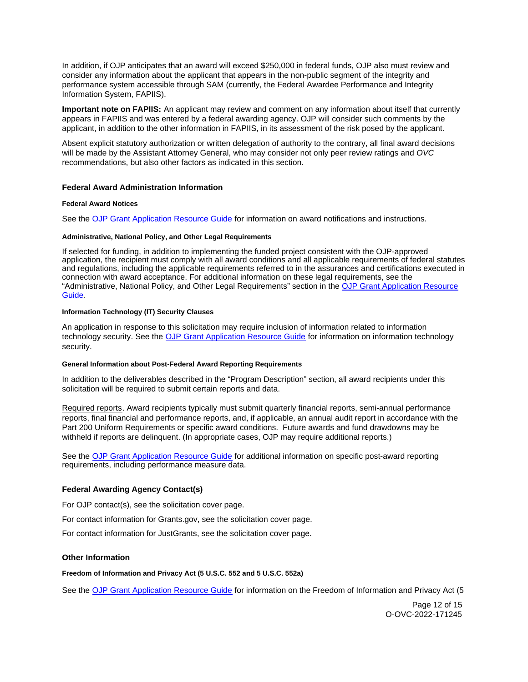<span id="page-11-0"></span>In addition, if OJP anticipates that an award will exceed \$250,000 in federal funds, OJP also must review and consider any information about the applicant that appears in the non-public segment of the integrity and performance system accessible through SAM (currently, the Federal Awardee Performance and Integrity Information System, FAPIIS).

**Important note on FAPIIS:** An applicant may review and comment on any information about itself that currently appears in FAPIIS and was entered by a federal awarding agency. OJP will consider such comments by the applicant, in addition to the other information in FAPIIS, in its assessment of the risk posed by the applicant.

Absent explicit statutory authorization or written delegation of authority to the contrary, all final award decisions will be made by the Assistant Attorney General, who may consider not only peer review ratings and OVC recommendations, but also other factors as indicated in this section.

# **Federal Award Administration Information**

# **Federal Award Notices**

See the [OJP Grant Application Resource Guide](https://www.ojp.gov/funding/apply/ojp-grant-application-resource-guide#federal-award-notices) for information on award notifications and instructions.

#### **Administrative, National Policy, and Other Legal Requirements**

If selected for funding, in addition to implementing the funded project consistent with the OJP-approved application, the recipient must comply with all award conditions and all applicable requirements of federal statutes and regulations, including the applicable requirements referred to in the assurances and certifications executed in connection with award acceptance. For additional information on these legal requirements, see the "Administrative, National Policy, and Other Legal Requirements" section in the [OJP Grant Application Resource](https://www.ojp.gov/funding/apply/ojp-grant-application-resource-guide#administrative)  [Guide.](https://www.ojp.gov/funding/apply/ojp-grant-application-resource-guide#administrative)

## **Information Technology (IT) Security Clauses**

An application in response to this solicitation may require inclusion of information related to information technology security. See the [OJP Grant Application Resource Guide](https://www.ojp.gov/funding/apply/ojp-grant-application-resource-guide#information-technology) for information on information technology security.

## **General Information about Post-Federal Award Reporting Requirements**

In addition to the deliverables described in the "Program Description" section, all award recipients under this solicitation will be required to submit certain reports and data.

Required reports. Award recipients typically must submit quarterly financial reports, semi-annual performance reports, final financial and performance reports, and, if applicable, an annual audit report in accordance with the Part 200 Uniform Requirements or specific award conditions. Future awards and fund drawdowns may be withheld if reports are delinquent. (In appropriate cases, OJP may require additional reports.)

See the [OJP Grant Application Resource Guide](https://www.ojp.gov/funding/apply/ojp-grant-application-resource-guide#general-information) for additional information on specific post-award reporting requirements, including performance measure data.

# **Federal Awarding Agency Contact(s)**

For OJP contact(s), see the solicitation cover page.

For contact information for [Grants.gov](https://Grants.gov), see the solicitation cover page.

For contact information for JustGrants, see the solicitation cover page.

# **Other Information**

**Freedom of Information and Privacy Act (5 U.S.C. 552 and 5 U.S.C. 552a)** 

See the [OJP Grant Application Resource Guide](https://www.ojp.gov/funding/apply/ojp-grant-application-resource-guide#foia) for information on the Freedom of Information and Privacy Act (5

Page 12 of 15 O-OVC-2022-171245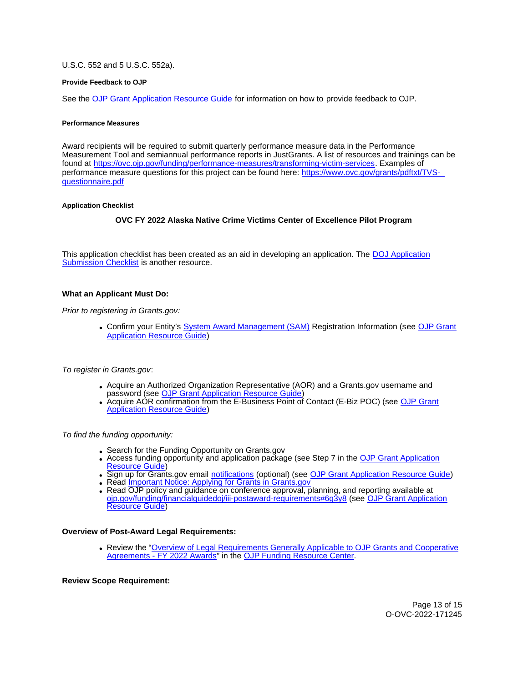## <span id="page-12-0"></span>U.S.C. 552 and 5 U.S.C. 552a).

#### **Provide Feedback to OJP**

See the [OJP Grant Application Resource Guide](https://www.ojp.gov/funding/apply/ojp-grant-application-resource-guide#feedback) for information on how to provide feedback to OJP.

#### **Performance Measures**

Award recipients will be required to submit quarterly performance measure data in the Performance Measurement Tool and semiannual performance reports in JustGrants. A list of resources and trainings can be found at [https://ovc.ojp.gov/funding/performance-measures/transforming-victim-services.](https://ovc.ojp.gov/funding/performance-measures/transforming-victim-services) Examples of performance measure questions for this project can be found here: [https://www.ovc.gov/grants/pdftxt/TVS](https://www.ovc.gov/grants/pdftxt/TVS-questionnaire.pdf)[questionnaire.pdf](https://www.ovc.gov/grants/pdftxt/TVS-questionnaire.pdf) 

#### **Application Checklist**

# **OVC FY 2022 Alaska Native Crime Victims Center of Excellence Pilot Program**

This application checklist has been created as an aid in developing an application. The [DOJ Application](https://justicegrants.usdoj.gov/sites/g/files/xyckuh296/files/media/document/appln-submission-checklist.pdf)  [Submission Checklist](https://justicegrants.usdoj.gov/sites/g/files/xyckuh296/files/media/document/appln-submission-checklist.pdf) is another resource.

## **What an Applicant Must Do:**

Prior to registering in [Grants.gov](https://Grants.gov):

Confirm your Entity's [System Award Management \(SAM\)](https://sam.gov/SAM/) Registration Information (see [OJP Grant](https://www.ojp.gov/funding/apply/ojp-grant-application-resource-guide#apply)  [Application Resource Guide\)](https://www.ojp.gov/funding/apply/ojp-grant-application-resource-guide#apply)

To register in [Grants.gov](https://Grants.gov):

- Acquire an Authorized Organization Representative (AOR) and a [Grants.gov](https://Grants.gov) username and password (see OJP Grant Application Resource Guide
- Acquire AOR confirmation from the E-Business Point of Contact (E-Biz POC) (see [OJP Grant](https://ojp.gov/funding/Apply/Resources/Grant-App-Resource-Guide.htm)  [Application Resource Guide\)](https://ojp.gov/funding/Apply/Resources/Grant-App-Resource-Guide.htm)

To find the funding opportunity:

- Search for the Funding Opportunity on Grants.gov
- Access funding opportunity and application package (see Step 7 in the OJP Grant Application [Resource Guide\)](https://ojp.gov/funding/Apply/Resources/Grant-App-Resource-Guide.htm)
- Sign up for [Grants.gov](https://Grants.gov) email [notifications](https://www.grants.gov/web/grants/manage-subscriptions.html) (optional) (see [OJP Grant Application Resource Guide\)](https://ojp.gov/funding/Apply/Resources/Grant-App-Resource-Guide.htm)
- Read [Important Notice: Applying for Grants in Grants.gov](https://ojp.gov/funding/Apply/Grants-govInfo.htm)
- Read OJP policy and guidance on conference approval, planning, and reporting available at [ojp.gov/funding/financialguidedoj/iii-postaward-requirements#6g3y8](https://www.ojp.gov/funding/financialguidedoj/iii-postaward-requirements#6g3y8) (see [OJP Grant Application](https://ojp.gov/funding/Apply/Resources/Grant-App-Resource-Guide.htm)  [Resource Guide\)](https://ojp.gov/funding/Apply/Resources/Grant-App-Resource-Guide.htm)

#### **Overview of Post-Award Legal Requirements:**

Review the "[Overview of Legal Requirements Generally Applicable to OJP Grants and Cooperative](https://www.ojp.gov/funding/explore/legal-overview-awards)  [Agreements - FY 2022 Awards"](https://www.ojp.gov/funding/explore/legal-overview-awards) in the [OJP Funding Resource Center.](https://www.ojp.gov/funding/index.htm)

#### **Review Scope Requirement:**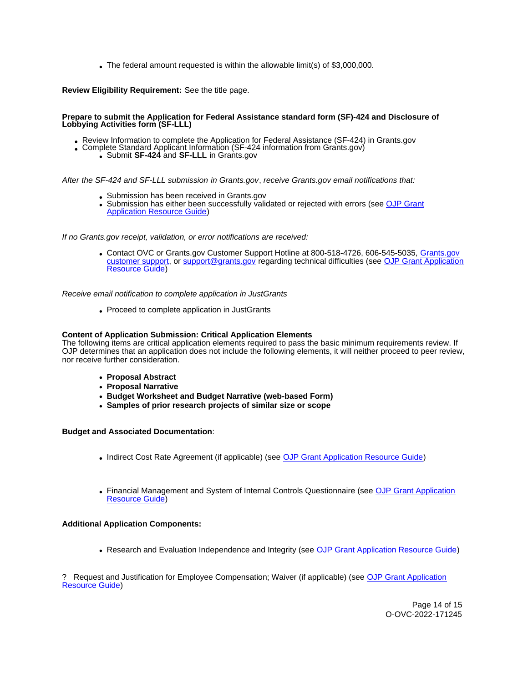The federal amount requested is within the allowable limit(s) of \$3,000,000.

**Review Eligibility Requirement:** See the title page.

#### **Prepare to submit the Application for Federal Assistance standard form (SF)-424 and Disclosure of Lobbying Activities form (SF-LLL)**

- Review Information to complete the Application for Federal Assistance (SF-424) in [Grants.gov](https://Grants.gov) Complete Standard Applicant Information (SF-424 information from [Grants.gov](https://Grants.gov)) Submit **SF-424** and **SF-LLL** in Grants.gov
	- -

After the SF-424 and SF-LLL submission in [Grants.gov](https://Grants.gov), receive [Grants.gov](https://Grants.gov) email notifications that:

- Submission has been received in [Grants.gov](https://Grants.gov)
- Submission has either been successfully validated or rejected with errors (see OJP Grant [Application Resource Guide\)](https://ojp.gov/funding/Apply/Resources/Grant-App-Resource-Guide.htm)

If no [Grants.gov](https://Grants.gov) receipt, validation, or error notifications are received:

Contact OVC or [Grants.gov](https://Grants.gov) Customer Support Hotline at 800-518-4726, 606-545-5035, [Grants.gov](https://www.grants.gov/web/grants/support.html)  [customer support,](https://www.grants.gov/web/grants/support.html) or [support@grants.gov](mailto:support@grants.gov) regarding technical difficulties (see [OJP Grant Application](https://ojp.gov/funding/Apply/Resources/Grant-App-Resource-Guide.htm)  [Resource Guide\)](https://ojp.gov/funding/Apply/Resources/Grant-App-Resource-Guide.htm)

Receive email notification to complete application in JustGrants

• Proceed to complete application in JustGrants

## **Content of Application Submission: Critical Application Elements**

The following items are critical application elements required to pass the basic minimum requirements review. If OJP determines that an application does not include the following elements, it will neither proceed to peer review, nor receive further consideration.

- **Proposal Abstract**
- **Proposal Narrative**
- **Budget Worksheet and Budget Narrative (web-based Form)**
- **Samples of prior research projects of similar size or scope**

# **Budget and Associated Documentation**:

- Indirect Cost Rate Agreement (if applicable) (see [OJP Grant Application Resource Guide\)](https://ojp.gov/funding/Apply/Resources/Grant-App-Resource-Guide.htm)
- Financial Management and System of Internal Controls Questionnaire (see [OJP Grant Application](https://ojp.gov/funding/Apply/Resources/Grant-App-Resource-Guide.htm)  [Resource Guide\)](https://ojp.gov/funding/Apply/Resources/Grant-App-Resource-Guide.htm)

# **Additional Application Components:**

• Research and Evaluation Independence and Integrity (see [OJP Grant Application Resource Guide\)](https://ojp.gov/funding/Apply/Resources/Grant-App-Resource-Guide.htm)

? Request and Justification for Employee Compensation; Waiver (if applicable) (see [OJP Grant Application](https://ojp.gov/funding/Apply/Resources/Grant-App-Resource-Guide.htm)  [Resource Guide\)](https://ojp.gov/funding/Apply/Resources/Grant-App-Resource-Guide.htm)